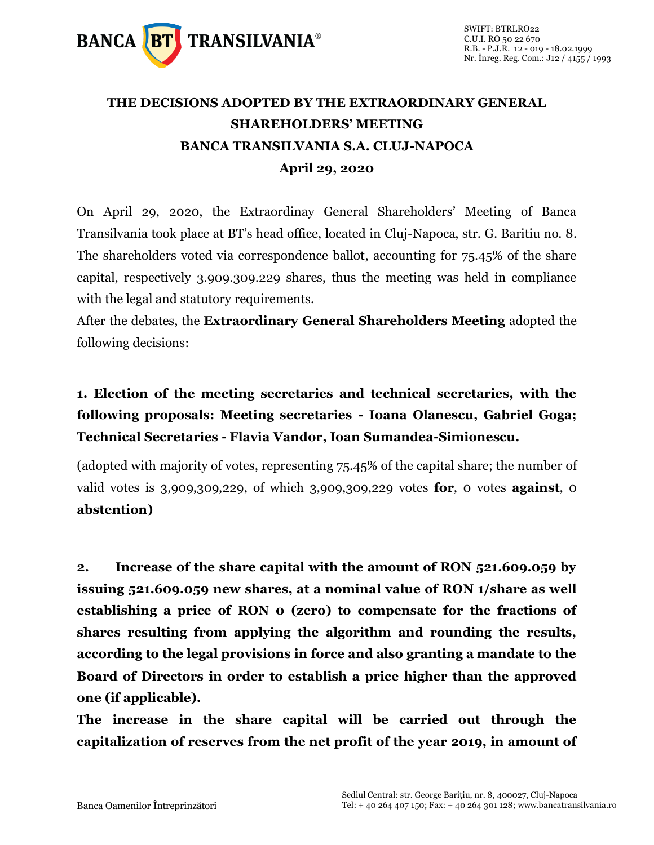

# **THE DECISIONS ADOPTED BY THE EXTRAORDINARY GENERAL SHAREHOLDERS' MEETING BANCA TRANSILVANIA S.A. CLUJ-NAPOCA April 29, 2020**

On April 29, 2020, the Extraordinay General Shareholders' Meeting of Banca Transilvania took place at BT's head office, located in Cluj-Napoca, str. G. Baritiu no. 8. The shareholders voted via correspondence ballot, accounting for 75.45% of the share capital, respectively 3.909.309.229 shares, thus the meeting was held in compliance with the legal and statutory requirements.

After the debates, the **Extraordinary General Shareholders Meeting** adopted the following decisions:

## **1. Election of the meeting secretaries and technical secretaries, with the following proposals: Meeting secretaries - Ioana Olanescu, Gabriel Goga; Technical Secretaries - Flavia Vandor, Ioan Sumandea-Simionescu.**

(adopted with majority of votes, representing 75.45% of the capital share; the number of valid votes is 3,909,309,229, of which 3,909,309,229 votes **for**, 0 votes **against**, 0 **abstention)**

**2. Increase of the share capital with the amount of RON 521.609.059 by issuing 521.609.059 new shares, at a nominal value of RON 1/share as well establishing a price of RON 0 (zero) to compensate for the fractions of shares resulting from applying the algorithm and rounding the results, according to the legal provisions in force and also granting a mandate to the Board of Directors in order to establish a price higher than the approved one (if applicable).**

**The increase in the share capital will be carried out through the capitalization of reserves from the net profit of the year 2019, in amount of**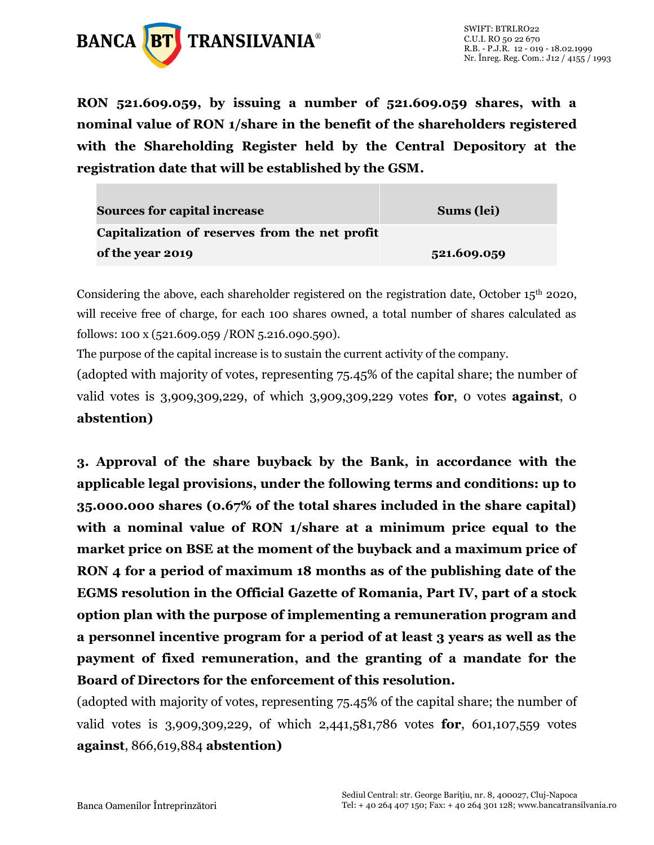

**RON 521.609.059, by issuing a number of 521.609.059 shares, with a nominal value of RON 1/share in the benefit of the shareholders registered with the Shareholding Register held by the Central Depository at the registration date that will be established by the GSM.**

| <b>Sources for capital increase</b>            | Sums (lei)  |
|------------------------------------------------|-------------|
| Capitalization of reserves from the net profit |             |
| of the year 2019                               | 521.609.059 |

Considering the above, each shareholder registered on the registration date, October  $15<sup>th</sup>$  2020, will receive free of charge, for each 100 shares owned, a total number of shares calculated as follows: 100 x (521.609.059 /RON 5.216.090.590).

The purpose of the capital increase is to sustain the current activity of the company.

(adopted with majority of votes, representing 75.45% of the capital share; the number of valid votes is 3,909,309,229, of which 3,909,309,229 votes **for**, 0 votes **against**, 0 **abstention)**

**3. Approval of the share buyback by the Bank, in accordance with the applicable legal provisions, under the following terms and conditions: up to 35.000.000 shares (0.67% of the total shares included in the share capital) with a nominal value of RON 1/share at a minimum price equal to the market price on BSE at the moment of the buyback and a maximum price of RON 4 for a period of maximum 18 months as of the publishing date of the EGMS resolution in the Official Gazette of Romania, Part IV, part of a stock option plan with the purpose of implementing a remuneration program and a personnel incentive program for a period of at least 3 years as well as the payment of fixed remuneration, and the granting of a mandate for the Board of Directors for the enforcement of this resolution.**

(adopted with majority of votes, representing 75.45% of the capital share; the number of valid votes is 3,909,309,229, of which 2,441,581,786 votes **for**, 601,107,559 votes **against**, 866,619,884 **abstention)**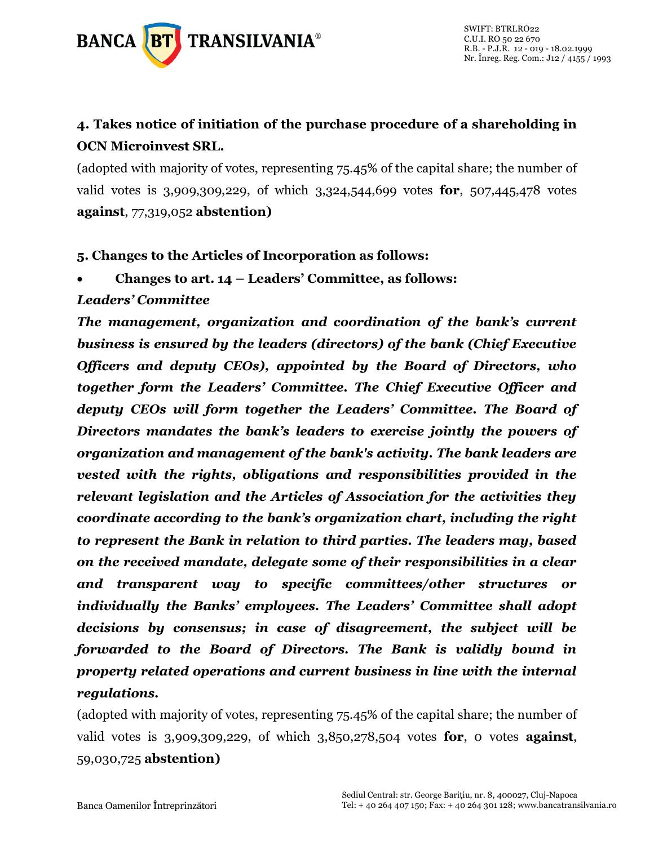

### **4. Takes notice of initiation of the purchase procedure of a shareholding in OCN Microinvest SRL.**

(adopted with majority of votes, representing 75.45% of the capital share; the number of valid votes is 3,909,309,229, of which 3,324,544,699 votes **for**, 507,445,478 votes **against**, 77,319,052 **abstention)**

**5. Changes to the Articles of Incorporation as follows:**

• **Changes to art. 14 – Leaders' Committee, as follows:**

#### *Leaders' Committee*

*The management, organization and coordination of the bank's current business is ensured by the leaders (directors) of the bank (Chief Executive Officers and deputy CEOs), appointed by the Board of Directors, who together form the Leaders' Committee. The Chief Executive Officer and deputy CEOs will form together the Leaders' Committee. The Board of Directors mandates the bank's leaders to exercise jointly the powers of organization and management of the bank's activity. The bank leaders are vested with the rights, obligations and responsibilities provided in the relevant legislation and the Articles of Association for the activities they coordinate according to the bank's organization chart, including the right to represent the Bank in relation to third parties. The leaders may, based on the received mandate, delegate some of their responsibilities in a clear and transparent way to specific committees/other structures or individually the Banks' employees. The Leaders' Committee shall adopt decisions by consensus; in case of disagreement, the subject will be forwarded to the Board of Directors. The Bank is validly bound in property related operations and current business in line with the internal regulations.*

(adopted with majority of votes, representing 75.45% of the capital share; the number of valid votes is 3,909,309,229, of which 3,850,278,504 votes **for**, 0 votes **against**, 59,030,725 **abstention)**